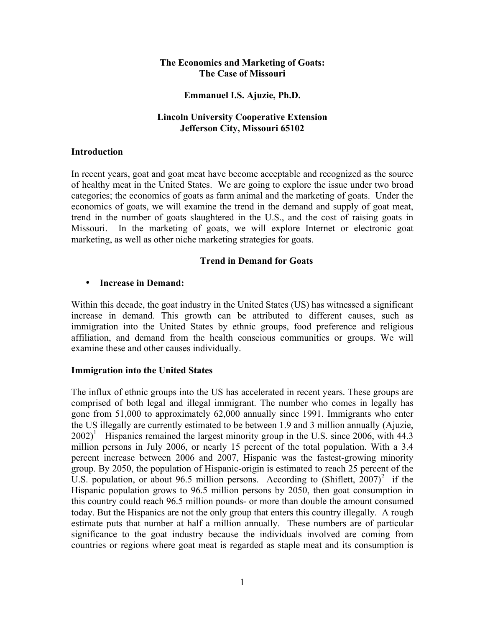### **The Economics and Marketing of Goats: The Case of Missouri**

#### **Emmanuel I.S. Ajuzie, Ph.D.**

### **Lincoln University Cooperative Extension Jefferson City, Missouri 65102**

#### **Introduction**

In recent years, goat and goat meat have become acceptable and recognized as the source of healthy meat in the United States. We are going to explore the issue under two broad categories; the economics of goats as farm animal and the marketing of goats. Under the economics of goats, we will examine the trend in the demand and supply of goat meat, trend in the number of goats slaughtered in the U.S., and the cost of raising goats in Missouri. In the marketing of goats, we will explore Internet or electronic goat marketing, as well as other niche marketing strategies for goats.

### **Trend in Demand for Goats**

#### • **Increase in Demand:**

Within this decade, the goat industry in the United States (US) has witnessed a significant increase in demand. This growth can be attributed to different causes, such as immigration into the United States by ethnic groups, food preference and religious affiliation, and demand from the health conscious communities or groups. We will examine these and other causes individually.

### **Immigration into the United States**

The influx of ethnic groups into the US has accelerated in recent years. These groups are comprised of both legal and illegal immigrant. The number who comes in legally has gone from 51,000 to approximately 62,000 annually since 1991. Immigrants who enter the US illegally are currently estimated to be between 1.9 and 3 million annually (Ajuzie,  $2002$ <sup>1</sup> Hispanics remained the largest minority group in the U.S. since 2006, with 44.3 million persons in July 2006, or nearly 15 percent of the total population. With a 3.4 percent increase between 2006 and 2007, Hispanic was the fastest-growing minority group. By 2050, the population of Hispanic-origin is estimated to reach 25 percent of the U.S. population, or about 96.5 million persons. According to  $(Shiflett, 2007)^2$  if the Hispanic population grows to 96.5 million persons by 2050, then goat consumption in this country could reach 96.5 million pounds- or more than double the amount consumed today. But the Hispanics are not the only group that enters this country illegally. A rough estimate puts that number at half a million annually. These numbers are of particular significance to the goat industry because the individuals involved are coming from countries or regions where goat meat is regarded as staple meat and its consumption is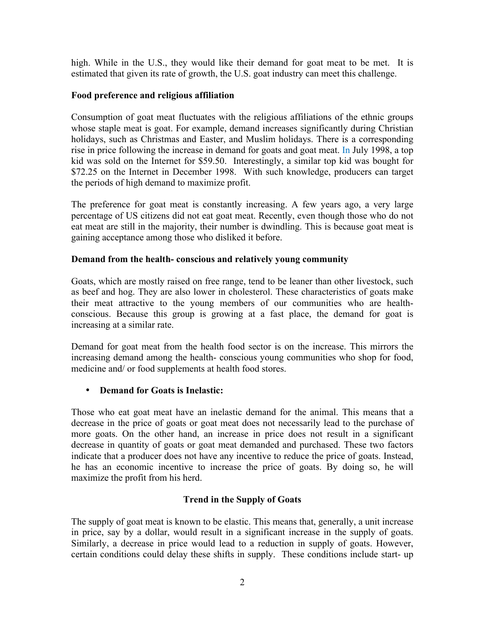high. While in the U.S., they would like their demand for goat meat to be met. It is estimated that given its rate of growth, the U.S. goat industry can meet this challenge.

## **Food preference and religious affiliation**

Consumption of goat meat fluctuates with the religious affiliations of the ethnic groups whose staple meat is goat. For example, demand increases significantly during Christian holidays, such as Christmas and Easter, and Muslim holidays. There is a corresponding rise in price following the increase in demand for goats and goat meat. In July 1998, a top kid was sold on the Internet for \$59.50. Interestingly, a similar top kid was bought for \$72.25 on the Internet in December 1998. With such knowledge, producers can target the periods of high demand to maximize profit.

The preference for goat meat is constantly increasing. A few years ago, a very large percentage of US citizens did not eat goat meat. Recently, even though those who do not eat meat are still in the majority, their number is dwindling. This is because goat meat is gaining acceptance among those who disliked it before.

## **Demand from the health- conscious and relatively young community**

Goats, which are mostly raised on free range, tend to be leaner than other livestock, such as beef and hog. They are also lower in cholesterol. These characteristics of goats make their meat attractive to the young members of our communities who are healthconscious. Because this group is growing at a fast place, the demand for goat is increasing at a similar rate.

Demand for goat meat from the health food sector is on the increase. This mirrors the increasing demand among the health- conscious young communities who shop for food, medicine and/ or food supplements at health food stores.

# • **Demand for Goats is Inelastic:**

Those who eat goat meat have an inelastic demand for the animal. This means that a decrease in the price of goats or goat meat does not necessarily lead to the purchase of more goats. On the other hand, an increase in price does not result in a significant decrease in quantity of goats or goat meat demanded and purchased. These two factors indicate that a producer does not have any incentive to reduce the price of goats. Instead, he has an economic incentive to increase the price of goats. By doing so, he will maximize the profit from his herd.

# **Trend in the Supply of Goats**

The supply of goat meat is known to be elastic. This means that, generally, a unit increase in price, say by a dollar, would result in a significant increase in the supply of goats. Similarly, a decrease in price would lead to a reduction in supply of goats. However, certain conditions could delay these shifts in supply. These conditions include start- up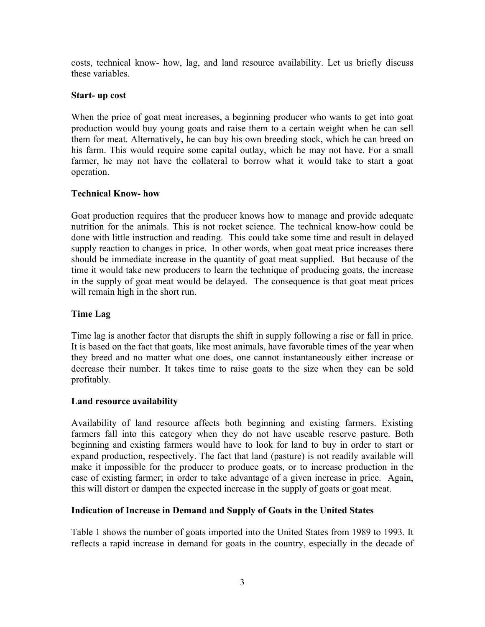costs, technical know- how, lag, and land resource availability. Let us briefly discuss these variables.

#### **Start- up cost**

When the price of goat meat increases, a beginning producer who wants to get into goat production would buy young goats and raise them to a certain weight when he can sell them for meat. Alternatively, he can buy his own breeding stock, which he can breed on his farm. This would require some capital outlay, which he may not have. For a small farmer, he may not have the collateral to borrow what it would take to start a goat operation.

### **Technical Know- how**

Goat production requires that the producer knows how to manage and provide adequate nutrition for the animals. This is not rocket science. The technical know-how could be done with little instruction and reading. This could take some time and result in delayed supply reaction to changes in price. In other words, when goat meat price increases there should be immediate increase in the quantity of goat meat supplied. But because of the time it would take new producers to learn the technique of producing goats, the increase in the supply of goat meat would be delayed. The consequence is that goat meat prices will remain high in the short run.

### **Time Lag**

Time lag is another factor that disrupts the shift in supply following a rise or fall in price. It is based on the fact that goats, like most animals, have favorable times of the year when they breed and no matter what one does, one cannot instantaneously either increase or decrease their number. It takes time to raise goats to the size when they can be sold profitably.

### **Land resource availability**

Availability of land resource affects both beginning and existing farmers. Existing farmers fall into this category when they do not have useable reserve pasture. Both beginning and existing farmers would have to look for land to buy in order to start or expand production, respectively. The fact that land (pasture) is not readily available will make it impossible for the producer to produce goats, or to increase production in the case of existing farmer; in order to take advantage of a given increase in price. Again, this will distort or dampen the expected increase in the supply of goats or goat meat.

### **Indication of Increase in Demand and Supply of Goats in the United States**

Table 1 shows the number of goats imported into the United States from 1989 to 1993. It reflects a rapid increase in demand for goats in the country, especially in the decade of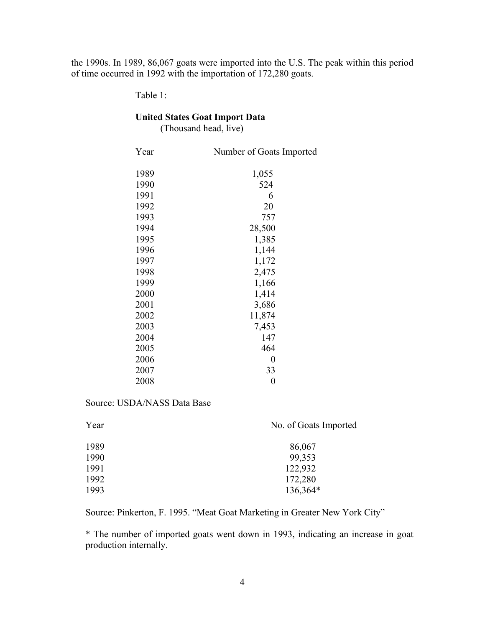the 1990s. In 1989, 86,067 goats were imported into the U.S. The peak within this period of time occurred in 1992 with the importation of 172,280 goats.

Table 1:

# **United States Goat Import Data**

(Thousand head, live)

| Year | Number of Goats Imported |
|------|--------------------------|
| 1989 | 1,055                    |
| 1990 | 524                      |
| 1991 | 6                        |
| 1992 | 20                       |
| 1993 | 757                      |
| 1994 | 28,500                   |
| 1995 | 1,385                    |
| 1996 | 1,144                    |
| 1997 | 1,172                    |
| 1998 | 2,475                    |
| 1999 | 1,166                    |
| 2000 | 1,414                    |
| 2001 | 3,686                    |
| 2002 | 11,874                   |
| 2003 | 7,453                    |
| 2004 | 147                      |
| 2005 | 464                      |
| 2006 | 0                        |
| 2007 | 33                       |
| 2008 | 0                        |

Source: USDA/NASS Data Base

| Year | No. of Goats Imported |
|------|-----------------------|
| 1989 | 86,067                |
| 1990 | 99,353                |
| 1991 | 122,932               |
| 1992 | 172,280               |
| 1993 | 136,364*              |

Source: Pinkerton, F. 1995. "Meat Goat Marketing in Greater New York City"

\* The number of imported goats went down in 1993, indicating an increase in goat production internally.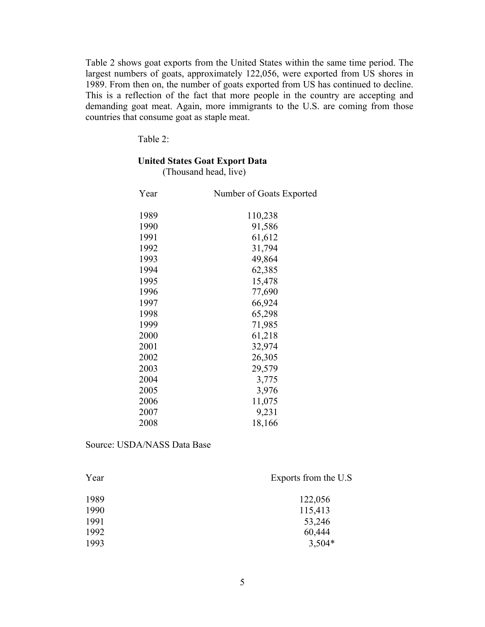Table 2 shows goat exports from the United States within the same time period. The largest numbers of goats, approximately 122,056, were exported from US shores in 1989. From then on, the number of goats exported from US has continued to decline. This is a reflection of the fact that more people in the country are accepting and demanding goat meat. Again, more immigrants to the U.S. are coming from those countries that consume goat as staple meat.

Table 2:

## **United States Goat Export Data**

(Thousand head, live)

| Year | Number of Goats Exported |
|------|--------------------------|
| 1989 | 110,238                  |
| 1990 | 91,586                   |
| 1991 | 61,612                   |
| 1992 | 31,794                   |
| 1993 | 49,864                   |
| 1994 | 62,385                   |
| 1995 | 15,478                   |
| 1996 | 77,690                   |
| 1997 | 66,924                   |
| 1998 | 65,298                   |
| 1999 | 71,985                   |
| 2000 | 61,218                   |
| 2001 | 32,974                   |
| 2002 | 26,305                   |
| 2003 | 29,579                   |
| 2004 | 3,775                    |
| 2005 | 3,976                    |
| 2006 | 11,075                   |
| 2007 | 9,231                    |
| 2008 | 18,166                   |

Source: USDA/NASS Data Base

| Exports from the U.S. |
|-----------------------|
| 122,056               |
| 115,413               |
| 53,246                |
| 60,444                |
| $3,504*$              |
|                       |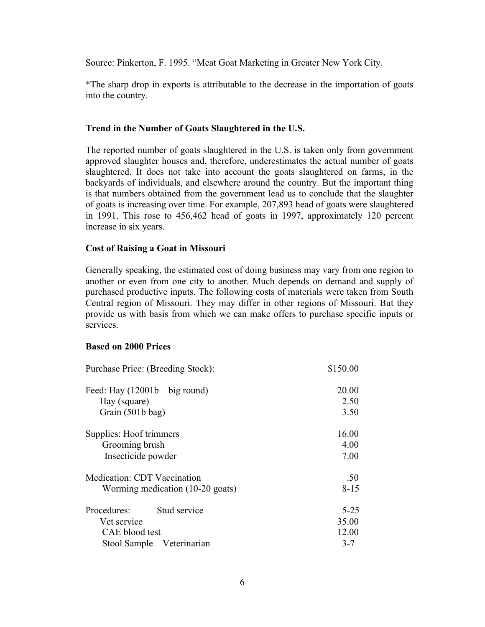Source: Pinkerton, F. 1995. "Meat Goat Marketing in Greater New York City.

\*The sharp drop in exports is attributable to the decrease in the importation of goats into the country.

#### **Trend in the Number of Goats Slaughtered in the U.S.**

The reported number of goats slaughtered in the U.S. is taken only from government approved slaughter houses and, therefore, underestimates the actual number of goats slaughtered. It does not take into account the goats slaughtered on farms, in the backyards of individuals, and elsewhere around the country. But the important thing is that numbers obtained from the government lead us to conclude that the slaughter of goats is increasing over time. For example, 207,893 head of goats were slaughtered in 1991. This rose to 456,462 head of goats in 1997, approximately 120 percent increase in six years.

### **Cost of Raising a Goat in Missouri**

Generally speaking, the estimated cost of doing business may vary from one region to another or even from one city to another. Much depends on demand and supply of purchased productive inputs. The following costs of materials were taken from South Central region of Missouri. They may differ in other regions of Missouri. But they provide us with basis from which we can make offers to purchase specific inputs or services.

#### **Based on 2000 Prices**

| Purchase Price: (Breeding Stock):  | \$150.00 |
|------------------------------------|----------|
| Feed: Hay $(12001b - big round)$   | 20.00    |
| Hay (square)                       | 2.50     |
| Grain (501b bag)                   | 3.50     |
| Supplies: Hoof trimmers            | 16.00    |
| Grooming brush                     | 4.00     |
| Insecticide powder                 | 7.00     |
| <b>Medication: CDT Vaccination</b> | .50      |
| Worming medication (10-20 goats)   | $8 - 15$ |
| Stud service<br>Procedures:        | $5 - 25$ |
| Vet service                        | 35.00    |
| CAE blood test                     | 12.00    |
| Stool Sample - Veterinarian        | $3 - 7$  |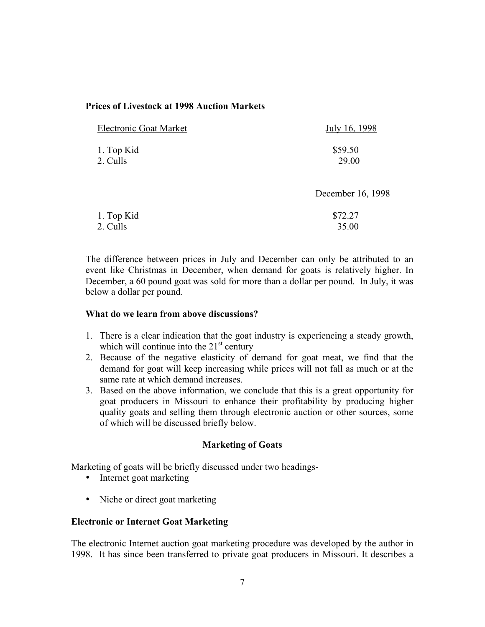## **Prices of Livestock at 1998 Auction Markets**

| <b>Electronic Goat Market</b> | July 16, 1998     |
|-------------------------------|-------------------|
| 1. Top Kid                    | \$59.50           |
| 2. Culls                      | 29.00             |
|                               | December 16, 1998 |
| 1. Top Kid                    | \$72.27           |
| 2. Culls                      | 35.00             |

The difference between prices in July and December can only be attributed to an event like Christmas in December, when demand for goats is relatively higher. In December, a 60 pound goat was sold for more than a dollar per pound. In July, it was below a dollar per pound.

## **What do we learn from above discussions?**

- 1. There is a clear indication that the goat industry is experiencing a steady growth, which will continue into the  $21<sup>st</sup>$  century
- 2. Because of the negative elasticity of demand for goat meat, we find that the demand for goat will keep increasing while prices will not fall as much or at the same rate at which demand increases.
- 3. Based on the above information, we conclude that this is a great opportunity for goat producers in Missouri to enhance their profitability by producing higher quality goats and selling them through electronic auction or other sources, some of which will be discussed briefly below.

### **Marketing of Goats**

Marketing of goats will be briefly discussed under two headings-

- Internet goat marketing
- Niche or direct goat marketing

### **Electronic or Internet Goat Marketing**

The electronic Internet auction goat marketing procedure was developed by the author in 1998. It has since been transferred to private goat producers in Missouri. It describes a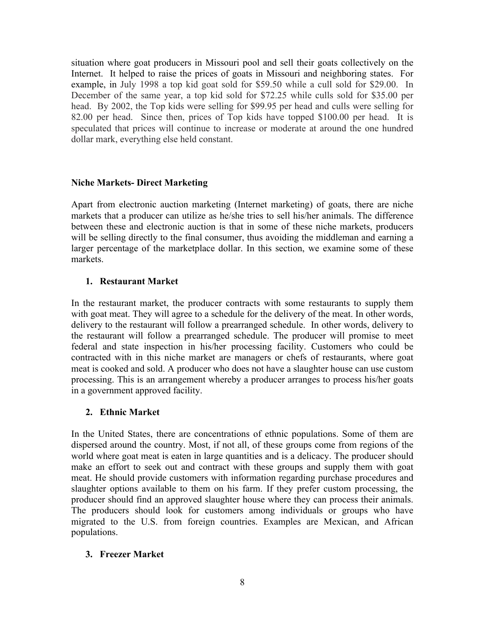situation where goat producers in Missouri pool and sell their goats collectively on the Internet. It helped to raise the prices of goats in Missouri and neighboring states. For example, in July 1998 a top kid goat sold for \$59.50 while a cull sold for \$29.00. In December of the same year, a top kid sold for \$72.25 while culls sold for \$35.00 per head. By 2002, the Top kids were selling for \$99.95 per head and culls were selling for 82.00 per head. Since then, prices of Top kids have topped \$100.00 per head. It is speculated that prices will continue to increase or moderate at around the one hundred dollar mark, everything else held constant.

## **Niche Markets- Direct Marketing**

Apart from electronic auction marketing (Internet marketing) of goats, there are niche markets that a producer can utilize as he/she tries to sell his/her animals. The difference between these and electronic auction is that in some of these niche markets, producers will be selling directly to the final consumer, thus avoiding the middleman and earning a larger percentage of the marketplace dollar. In this section, we examine some of these markets.

# **1. Restaurant Market**

In the restaurant market, the producer contracts with some restaurants to supply them with goat meat. They will agree to a schedule for the delivery of the meat. In other words, delivery to the restaurant will follow a prearranged schedule. In other words, delivery to the restaurant will follow a prearranged schedule. The producer will promise to meet federal and state inspection in his/her processing facility. Customers who could be contracted with in this niche market are managers or chefs of restaurants, where goat meat is cooked and sold. A producer who does not have a slaughter house can use custom processing. This is an arrangement whereby a producer arranges to process his/her goats in a government approved facility.

### **2. Ethnic Market**

In the United States, there are concentrations of ethnic populations. Some of them are dispersed around the country. Most, if not all, of these groups come from regions of the world where goat meat is eaten in large quantities and is a delicacy. The producer should make an effort to seek out and contract with these groups and supply them with goat meat. He should provide customers with information regarding purchase procedures and slaughter options available to them on his farm. If they prefer custom processing, the producer should find an approved slaughter house where they can process their animals. The producers should look for customers among individuals or groups who have migrated to the U.S. from foreign countries. Examples are Mexican, and African populations.

### **3. Freezer Market**